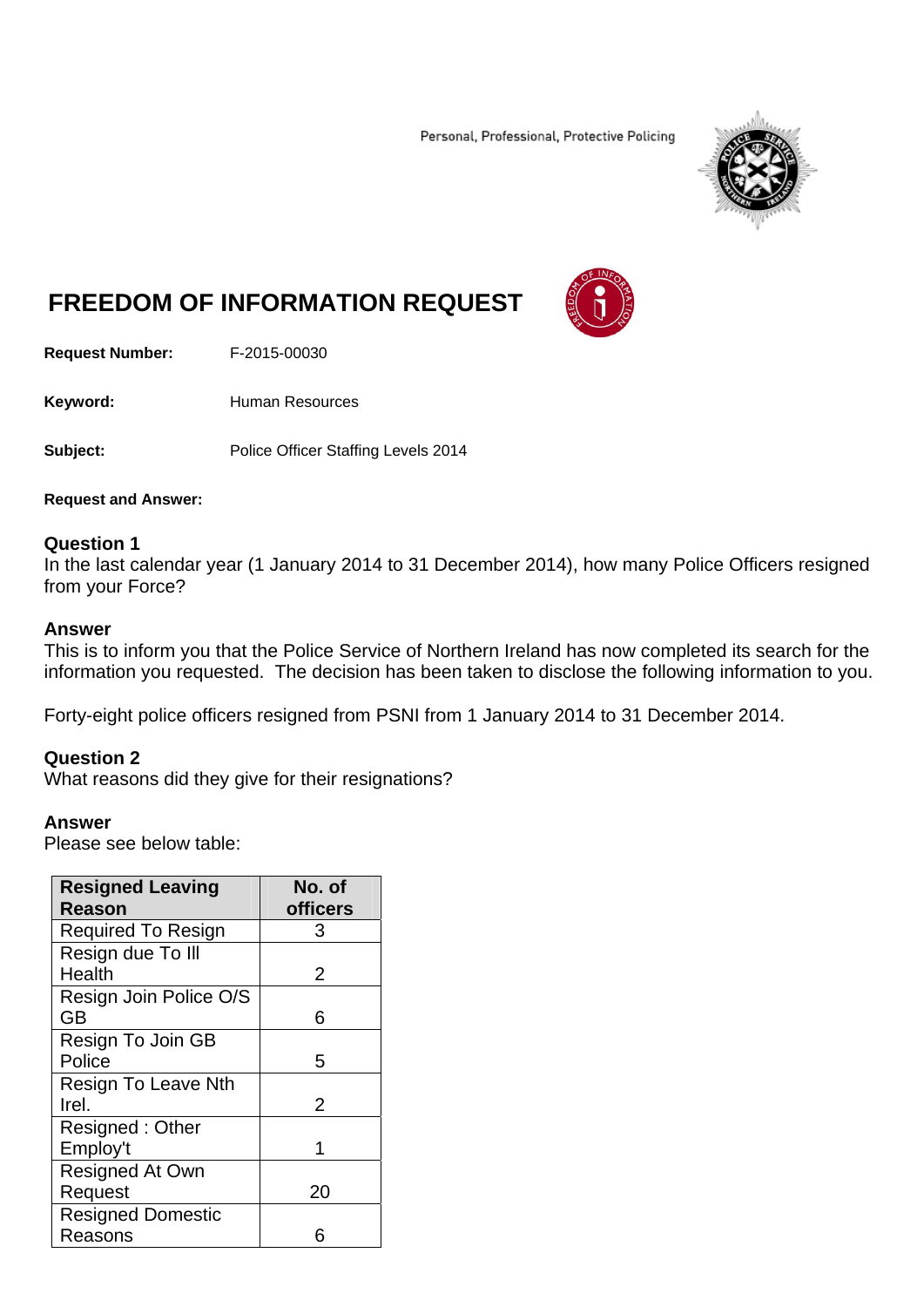Personal, Professional, Protective Policing



# **FREEDOM OF INFORMATION REQUEST**

**Request Number:** F-2015-00030

Keyword: **Human Resources** 

**Subject:** Police Officer Staffing Levels 2014

**Request and Answer:** 

### **Question 1**

In the last calendar year (1 January 2014 to 31 December 2014), how many Police Officers resigned from your Force?

#### **Answer**

This is to inform you that the Police Service of Northern Ireland has now completed its search for the information you requested. The decision has been taken to disclose the following information to you.

Forty-eight police officers resigned from PSNI from 1 January 2014 to 31 December 2014.

### **Question 2**

What reasons did they give for their resignations?

#### **Answer**

Please see below table:

| <b>Resigned Leaving</b><br><b>Reason</b> | No. of<br><b>officers</b> |
|------------------------------------------|---------------------------|
| <b>Required To Resign</b>                | 3                         |
| Resign due To III                        |                           |
| Health                                   | 2                         |
| Resign Join Police O/S                   |                           |
| <b>GB</b>                                | 6                         |
| Resign To Join GB                        |                           |
| Police                                   | 5                         |
| <b>Resign To Leave Nth</b>               |                           |
| Irel.                                    | 2                         |
| Resigned: Other                          |                           |
| Employ't                                 |                           |
| <b>Resigned At Own</b>                   |                           |
| Request                                  | 20                        |
| <b>Resigned Domestic</b>                 |                           |
| Reasons                                  |                           |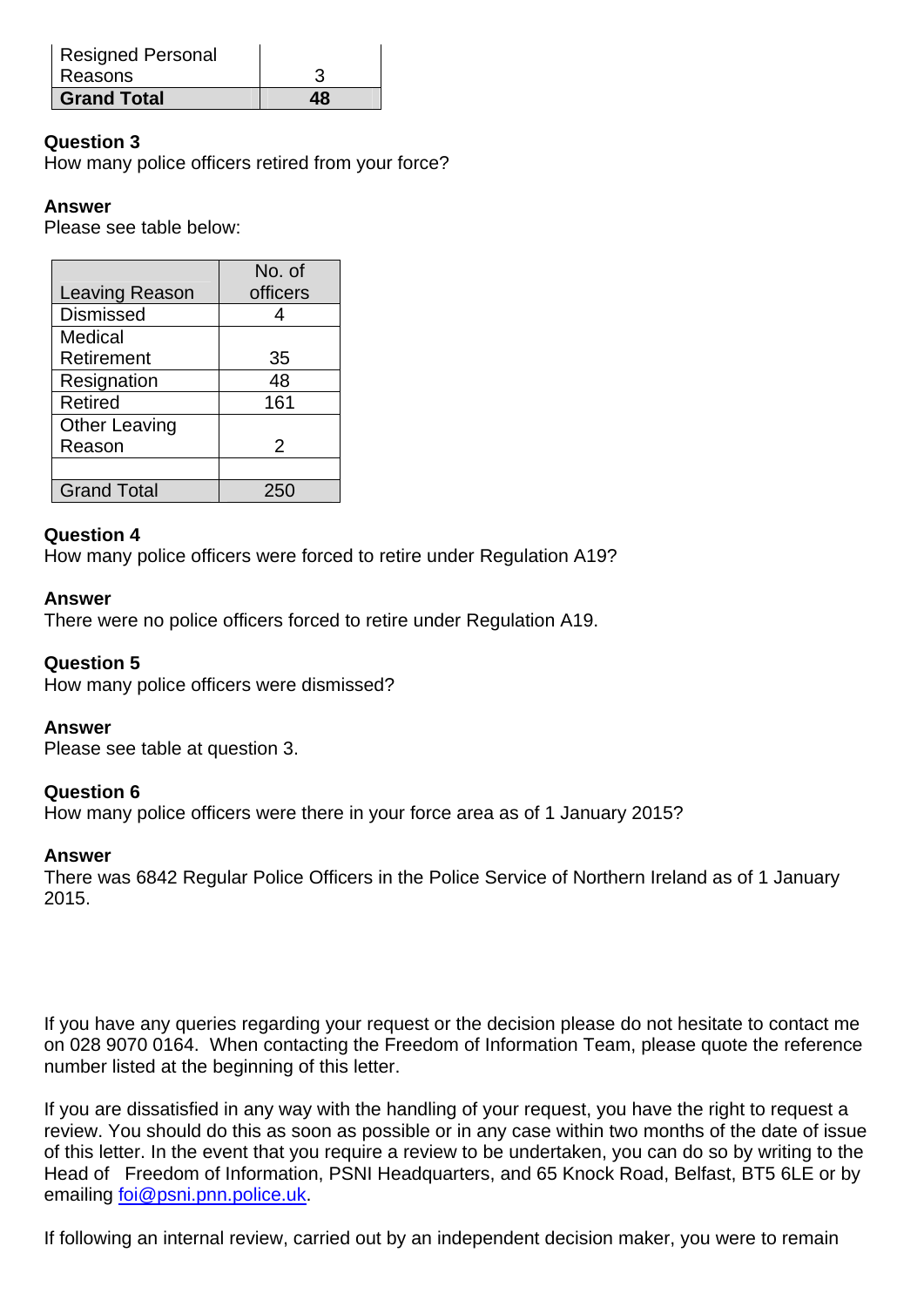| <b>Resigned Personal</b> |    |
|--------------------------|----|
| Reasons                  | 3  |
| <b>Grand Total</b>       | 48 |

## **Question 3**

How many police officers retired from your force?

## **Answer**

Please see table below:

|                       | No. of   |
|-----------------------|----------|
| <b>Leaving Reason</b> | officers |
| <b>Dismissed</b>      |          |
| Medical               |          |
| Retirement            | 35       |
| Resignation           | 48       |
| Retired               | 161      |
| <b>Other Leaving</b>  |          |
| Reason                | 2        |
|                       |          |
| <b>Grand Total</b>    | 250      |

### **Question 4**

How many police officers were forced to retire under Regulation A19?

### **Answer**

There were no police officers forced to retire under Regulation A19.

### **Question 5**

How many police officers were dismissed?

### **Answer**

Please see table at question 3.

### **Question 6**

How many police officers were there in your force area as of 1 January 2015?

### **Answer**

There was 6842 Regular Police Officers in the Police Service of Northern Ireland as of 1 January 2015.

If you have any queries regarding your request or the decision please do not hesitate to contact me on 028 9070 0164. When contacting the Freedom of Information Team, please quote the reference number listed at the beginning of this letter.

If you are dissatisfied in any way with the handling of your request, you have the right to request a review. You should do this as soon as possible or in any case within two months of the date of issue of this letter. In the event that you require a review to be undertaken, you can do so by writing to the Head of Freedom of Information, PSNI Headquarters, and 65 Knock Road, Belfast, BT5 6LE or by emailing foi@psni.pnn.police.uk.

If following an internal review, carried out by an independent decision maker, you were to remain